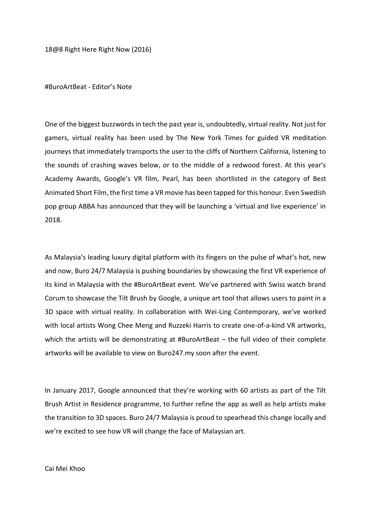18@8 Right Here Right Now (2016)

#BuroArtBeat - Editor's Note

One of the biggest buzzwords in tech the past year is, undoubtedly, virtual reality. Not just for gamers, virtual reality has been used by The New York Times for guided VR meditation journeys that immediately transports the user to the cliffs of Northern California, listening to the sounds of crashing waves below, or to the middle of a redwood forest. At this year's Academy Awards, Google's VR film, Pearl, has been shortlisted in the category of Best Animated Short Film, the first time a VR movie has been tapped for this honour. Even Swedish pop group ABBA has announced that they will be launching a 'virtual and live experience' in 2018.

As Malaysia's leading luxury digital platform with its fingers on the pulse of what's hot, new and now, Buro 24/7 Malaysia is pushing boundaries by showcasing the first VR experience of its kind in Malaysia with the #BuroArtBeat event. We've partnered with Swiss watch brand Corum to showcase the Tilt Brush by Google, a unique art tool that allows users to paint in a 3D space with virtual reality. In collaboration with Wei-Ling Contemporary, we've worked with local artists Wong Chee Meng and Ruzzeki Harris to create one-of-a-kind VR artworks, which the artists will be demonstrating at #BuroArtBeat – the full video of their complete artworks will be available to view on Buro247.my soon after the event.

In January 2017, Google announced that they're working with 60 artists as part of the Tilt Brush Artist in Residence programme, to further refine the app as well as help artists make the transition to 3D spaces. Buro 24/7 Malaysia is proud to spearhead this change locally and we're excited to see how VR will change the face of Malaysian art.

## Cai Mei Khoo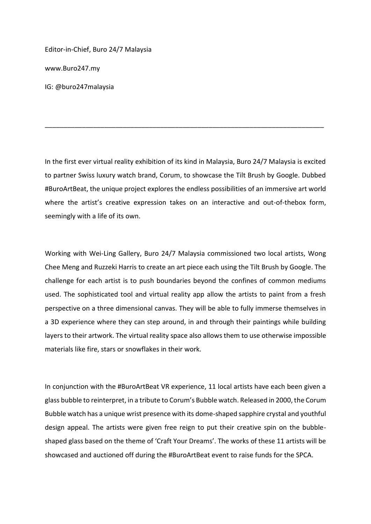Editor-in-Chief, Buro 24/7 Malaysia

www.Buro247.my

IG: @buro247malaysia

In the first ever virtual reality exhibition of its kind in Malaysia, Buro 24/7 Malaysia is excited to partner Swiss luxury watch brand, Corum, to showcase the Tilt Brush by Google. Dubbed #BuroArtBeat, the unique project explores the endless possibilities of an immersive art world where the artist's creative expression takes on an interactive and out-of-thebox form, seemingly with a life of its own.

\_\_\_\_\_\_\_\_\_\_\_\_\_\_\_\_\_\_\_\_\_\_\_\_\_\_\_\_\_\_\_\_\_\_\_\_\_\_\_\_\_\_\_\_\_\_\_\_\_\_\_\_\_\_\_\_\_\_\_\_\_\_\_\_\_\_\_\_\_\_\_\_\_\_\_

Working with Wei-Ling Gallery, Buro 24/7 Malaysia commissioned two local artists, Wong Chee Meng and Ruzzeki Harris to create an art piece each using the Tilt Brush by Google. The challenge for each artist is to push boundaries beyond the confines of common mediums used. The sophisticated tool and virtual reality app allow the artists to paint from a fresh perspective on a three dimensional canvas. They will be able to fully immerse themselves in a 3D experience where they can step around, in and through their paintings while building layers to their artwork. The virtual reality space also allows them to use otherwise impossible materials like fire, stars or snowflakes in their work.

In conjunction with the #BuroArtBeat VR experience, 11 local artists have each been given a glass bubble to reinterpret, in a tribute to Corum's Bubble watch. Released in 2000, the Corum Bubble watch has a unique wrist presence with its dome-shaped sapphire crystal and youthful design appeal. The artists were given free reign to put their creative spin on the bubbleshaped glass based on the theme of 'Craft Your Dreams'. The works of these 11 artists will be showcased and auctioned off during the #BuroArtBeat event to raise funds for the SPCA.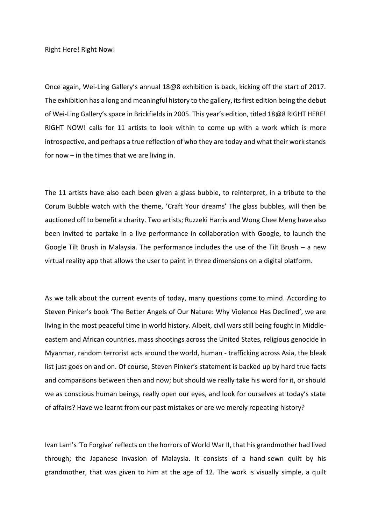Right Here! Right Now!

Once again, Wei-Ling Gallery's annual 18@8 exhibition is back, kicking off the start of 2017. The exhibition has a long and meaningful history to the gallery, its first edition being the debut of Wei-Ling Gallery's space in Brickfields in 2005. This year's edition, titled 18@8 RIGHT HERE! RIGHT NOW! calls for 11 artists to look within to come up with a work which is more introspective, and perhaps a true reflection of who they are today and what their work stands for now – in the times that we are living in.

The 11 artists have also each been given a glass bubble, to reinterpret, in a tribute to the Corum Bubble watch with the theme, 'Craft Your dreams' The glass bubbles, will then be auctioned off to benefit a charity. Two artists; Ruzzeki Harris and Wong Chee Meng have also been invited to partake in a live performance in collaboration with Google, to launch the Google Tilt Brush in Malaysia. The performance includes the use of the Tilt Brush – a new virtual reality app that allows the user to paint in three dimensions on a digital platform.

As we talk about the current events of today, many questions come to mind. According to Steven Pinker's book 'The Better Angels of Our Nature: Why Violence Has Declined', we are living in the most peaceful time in world history. Albeit, civil wars still being fought in Middleeastern and African countries, mass shootings across the United States, religious genocide in Myanmar, random terrorist acts around the world, human - trafficking across Asia, the bleak list just goes on and on. Of course, Steven Pinker's statement is backed up by hard true facts and comparisons between then and now; but should we really take his word for it, or should we as conscious human beings, really open our eyes, and look for ourselves at today's state of affairs? Have we learnt from our past mistakes or are we merely repeating history?

Ivan Lam's 'To Forgive' reflects on the horrors of World War II, that his grandmother had lived through; the Japanese invasion of Malaysia. It consists of a hand-sewn quilt by his grandmother, that was given to him at the age of 12. The work is visually simple, a quilt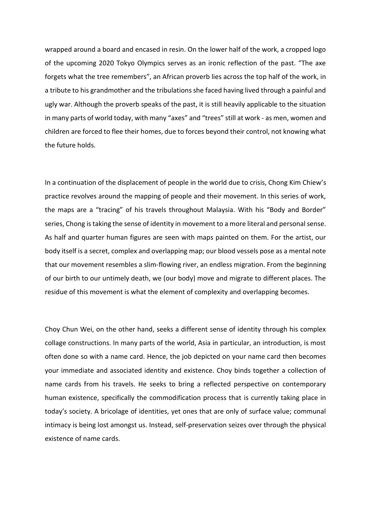wrapped around a board and encased in resin. On the lower half of the work, a cropped logo of the upcoming 2020 Tokyo Olympics serves as an ironic reflection of the past. "The axe forgets what the tree remembers", an African proverb lies across the top half of the work, in a tribute to his grandmother and the tribulations she faced having lived through a painful and ugly war. Although the proverb speaks of the past, it is still heavily applicable to the situation in many parts of world today, with many "axes" and "trees" still at work - as men, women and children are forced to flee their homes, due to forces beyond their control, not knowing what the future holds.

In a continuation of the displacement of people in the world due to crisis, Chong Kim Chiew's practice revolves around the mapping of people and their movement. In this series of work, the maps are a "tracing" of his travels throughout Malaysia. With his "Body and Border" series, Chong is taking the sense of identity in movement to a more literal and personal sense. As half and quarter human figures are seen with maps painted on them. For the artist, our body itself is a secret, complex and overlapping map; our blood vessels pose as a mental note that our movement resembles a slim-flowing river, an endless migration. From the beginning of our birth to our untimely death, we (our body) move and migrate to different places. The residue of this movement is what the element of complexity and overlapping becomes.

Choy Chun Wei, on the other hand, seeks a different sense of identity through his complex collage constructions. In many parts of the world, Asia in particular, an introduction, is most often done so with a name card. Hence, the job depicted on your name card then becomes your immediate and associated identity and existence. Choy binds together a collection of name cards from his travels. He seeks to bring a reflected perspective on contemporary human existence, specifically the commodification process that is currently taking place in today's society. A bricolage of identities, yet ones that are only of surface value; communal intimacy is being lost amongst us. Instead, self-preservation seizes over through the physical existence of name cards.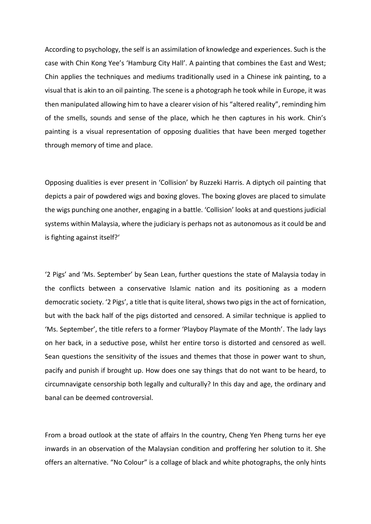According to psychology, the self is an assimilation of knowledge and experiences. Such is the case with Chin Kong Yee's 'Hamburg City Hall'. A painting that combines the East and West; Chin applies the techniques and mediums traditionally used in a Chinese ink painting, to a visual that is akin to an oil painting. The scene is a photograph he took while in Europe, it was then manipulated allowing him to have a clearer vision of his "altered reality", reminding him of the smells, sounds and sense of the place, which he then captures in his work. Chin's painting is a visual representation of opposing dualities that have been merged together through memory of time and place.

Opposing dualities is ever present in 'Collision' by Ruzzeki Harris. A diptych oil painting that depicts a pair of powdered wigs and boxing gloves. The boxing gloves are placed to simulate the wigs punching one another, engaging in a battle. 'Collision' looks at and questions judicial systems within Malaysia, where the judiciary is perhaps not as autonomous as it could be and is fighting against itself?'

'2 Pigs' and 'Ms. September' by Sean Lean, further questions the state of Malaysia today in the conflicts between a conservative Islamic nation and its positioning as a modern democratic society. '2 Pigs', a title that is quite literal, shows two pigs in the act of fornication, but with the back half of the pigs distorted and censored. A similar technique is applied to 'Ms. September', the title refers to a former 'Playboy Playmate of the Month'. The lady lays on her back, in a seductive pose, whilst her entire torso is distorted and censored as well. Sean questions the sensitivity of the issues and themes that those in power want to shun, pacify and punish if brought up. How does one say things that do not want to be heard, to circumnavigate censorship both legally and culturally? In this day and age, the ordinary and banal can be deemed controversial.

From a broad outlook at the state of affairs In the country, Cheng Yen Pheng turns her eye inwards in an observation of the Malaysian condition and proffering her solution to it. She offers an alternative. "No Colour" is a collage of black and white photographs, the only hints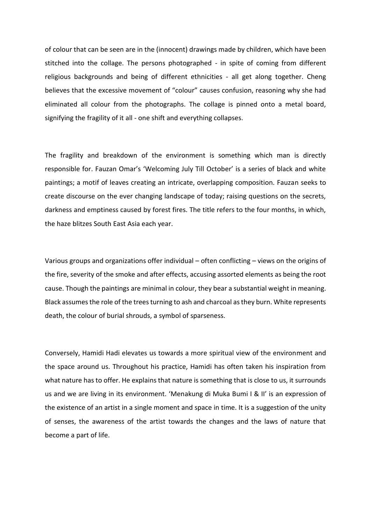of colour that can be seen are in the (innocent) drawings made by children, which have been stitched into the collage. The persons photographed - in spite of coming from different religious backgrounds and being of different ethnicities - all get along together. Cheng believes that the excessive movement of "colour" causes confusion, reasoning why she had eliminated all colour from the photographs. The collage is pinned onto a metal board, signifying the fragility of it all - one shift and everything collapses.

The fragility and breakdown of the environment is something which man is directly responsible for. Fauzan Omar's 'Welcoming July Till October' is a series of black and white paintings; a motif of leaves creating an intricate, overlapping composition. Fauzan seeks to create discourse on the ever changing landscape of today; raising questions on the secrets, darkness and emptiness caused by forest fires. The title refers to the four months, in which, the haze blitzes South East Asia each year.

Various groups and organizations offer individual – often conflicting – views on the origins of the fire, severity of the smoke and after effects, accusing assorted elements as being the root cause. Though the paintings are minimal in colour, they bear a substantial weight in meaning. Black assumes the role of the trees turning to ash and charcoal as they burn. White represents death, the colour of burial shrouds, a symbol of sparseness.

Conversely, Hamidi Hadi elevates us towards a more spiritual view of the environment and the space around us. Throughout his practice, Hamidi has often taken his inspiration from what nature has to offer. He explains that nature is something that is close to us, it surrounds us and we are living in its environment. 'Menakung di Muka Bumi I & II' is an expression of the existence of an artist in a single moment and space in time. It is a suggestion of the unity of senses, the awareness of the artist towards the changes and the laws of nature that become a part of life.